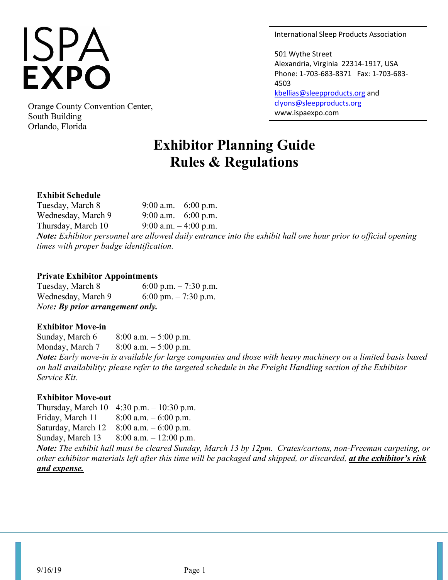# **ISPA<br>EXPO**

Orange County Convention Center,<br>South Building South Building Orlando, Florida

International Sleep Products Association

501 Wythe Street Alexandria, Virginia 22314-1917, USA Phone: 1-703-683-8371 Fax: 1-703-683- 4503 [kbellias@sleepproducts.org](mailto:kbellias@sleepproducts.org) and [clyons@sleepproducts.org](mailto:clyons@sleepproducts.org)

# **Exhibitor Planning Guide Rules & Regulations**

## **Exhibit Schedule**

Tuesday, March 8 9:00 a.m.  $-6:00$  p.m. Wednesday, March 9  $9:00$  a.m.  $-6:00$  p.m. Thursday, March 10  $9:00$  a.m.  $-4:00$  p.m. *Note: Exhibitor personnel are allowed daily entrance into the exhibit hall one hour prior to official opening times with proper badge identification.*

#### **Private Exhibitor Appointments**

Tuesday, March 8 6:00 p.m.  $-7:30$  p.m. Wednesday, March 9  $6:00 \text{ pm} - 7:30 \text{ p.m}.$ *Note: By prior arrangement only.* 

#### **Exhibitor Move-in**

Sunday, March  $6 \qquad 8:00$  a.m.  $-5:00$  p.m. Monday, March 7 8:00 a.m. – 5:00 p.m. *Note: Early move-in is available for large companies and those with heavy machinery on a limited basis based on hall availability; please refer to the targeted schedule in the Freight Handling section of the Exhibitor Service Kit.*

# **Exhibitor Move-out**

Thursday, March 10 4:30 p.m. – 10:30 p.m. Friday, March 11  $8:00$  a.m.  $-6:00$  p.m. Saturday, March 12 8:00 a.m. – 6:00 p.m. Sunday, March 13 8:00 a.m. – 12:00 p.m.

*Note: The exhibit hall must be cleared Sunday, March 13 by 12pm. Crates/cartons, non-Freeman carpeting, or other exhibitor materials left after this time will be packaged and shipped, or discarded, at the exhibitor's risk and expense.*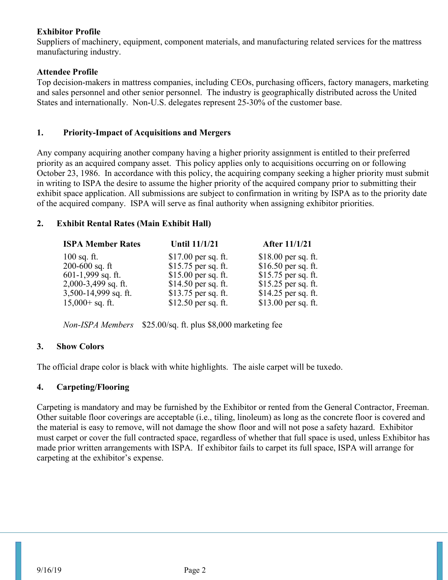## **Exhibitor Profile**

Suppliers of machinery, equipment, component materials, and manufacturing related services for the mattress manufacturing industry.

### **Attendee Profile**

Top decision-makers in mattress companies, including CEOs, purchasing officers, factory managers, marketing and sales personnel and other senior personnel. The industry is geographically distributed across the United States and internationally. Non-U.S. delegates represent 25-30% of the customer base.

## **1. Priority-Impact of Acquisitions and Mergers**

Any company acquiring another company having a higher priority assignment is entitled to their preferred priority as an acquired company asset. This policy applies only to acquisitions occurring on or following October 23, 1986. In accordance with this policy, the acquiring company seeking a higher priority must submit in writing to ISPA the desire to assume the higher priority of the acquired company prior to submitting their exhibit space application. All submissions are subject to confirmation in writing by ISPA as to the priority date of the acquired company. ISPA will serve as final authority when assigning exhibitor priorities.

# **2. Exhibit Rental Rates (Main Exhibit Hall)**

| <b>ISPA Member Rates</b> | <b>Until 11/1/21</b> | After 11/1/21        |
|--------------------------|----------------------|----------------------|
| $100$ sq. ft.            | $$17.00$ per sq. ft. | $$18.00$ per sq. ft. |
| $200 - 600$ sq. ft       | \$15.75 per sq. ft.  | $$16.50$ per sq. ft. |
| $601-1,999$ sq. ft.      | $$15.00$ per sq. ft. | \$15.75 per sq. ft.  |
| 2,000-3,499 sq. ft.      | \$14.50 per sq. ft.  | \$15.25 per sq. ft.  |
| 3,500-14,999 sq. ft.     | \$13.75 per sq. ft.  | $$14.25$ per sq. ft. |
| $15,000 + sq.$ ft.       | $$12.50$ per sq. ft. | \$13.00 per sq. ft.  |

*Non-ISPA Members* \$25.00/sq. ft. plus \$8,000 marketing fee

# **3. Show Colors**

The official drape color is black with white highlights. The aisle carpet will be tuxedo.

#### **4. Carpeting/Flooring**

Carpeting is mandatory and may be furnished by the Exhibitor or rented from the General Contractor, Freeman. Other suitable floor coverings are acceptable (i.e., tiling, linoleum) as long as the concrete floor is covered and the material is easy to remove, will not damage the show floor and will not pose a safety hazard. Exhibitor must carpet or cover the full contracted space, regardless of whether that full space is used, unless Exhibitor has made prior written arrangements with ISPA. If exhibitor fails to carpet its full space, ISPA will arrange for carpeting at the exhibitor's expense.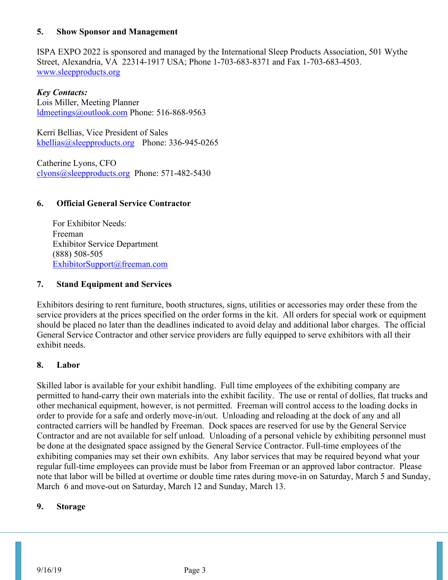#### **5. Show Sponsor and Management**

ISPA EXPO 2022 is sponsored and managed by the International Sleep Products Association, 501 Wythe Street, Alexandria, VA 22314-1917 USA; Phone 1-703-683-8371 and Fax 1-703-683-4503. [www.sleepproducts.org](http://www.sleepproducts.org/)

*Key Contacts:* Lois Miller, Meeting Planner [ldmeetings@outlook.com](mailto:ldmeetings@outlook.com) Phone: 516-868-9563

Kerri Bellias, Vice President of Sales [kbellias@sleepproducts.org](mailto:kbellias@sleepproducts.org) Phone: 336-945-0265

Catherine Lyons, CFO [clyons@sleepproducts.org](mailto:clyons@sleepproducts.org) Phone: 571-482-5430

#### **6. Official General Service Contractor**

For Exhibitor Needs: Freeman Exhibitor Service Department (888) 508-505 [ExhibitorSupport@freeman.com](mailto:ExhibitorSupport@freeman.com)

#### **7. Stand Equipment and Services**

Exhibitors desiring to rent furniture, booth structures, signs, utilities or accessories may order these from the service providers at the prices specified on the order forms in the kit. All orders for special work or equipment should be placed no later than the deadlines indicated to avoid delay and additional labor charges. The official General Service Contractor and other service providers are fully equipped to serve exhibitors with all their exhibit needs.

#### **8. Labor**

Skilled labor is available for your exhibit handling. Full time employees of the exhibiting company are permitted to hand-carry their own materials into the exhibit facility. The use or rental of dollies, flat trucks and other mechanical equipment, however, is not permitted. Freeman will control access to the loading docks in order to provide for a safe and orderly move-in/out. Unloading and reloading at the dock of any and all contracted carriers will be handled by Freeman. Dock spaces are reserved for use by the General Service Contractor and are not available for self unload. Unloading of a personal vehicle by exhibiting personnel must be done at the designated space assigned by the General Service Contractor. Full-time employees of the exhibiting companies may set their own exhibits. Any labor services that may be required beyond what your regular full-time employees can provide must be labor from Freeman or an approved labor contractor. Please note that labor will be billed at overtime or double time rates during move-in on Saturday, March 5 and Sunday, March 6 and move-out on Saturday, March 12 and Sunday, March 13.

#### **9. Storage**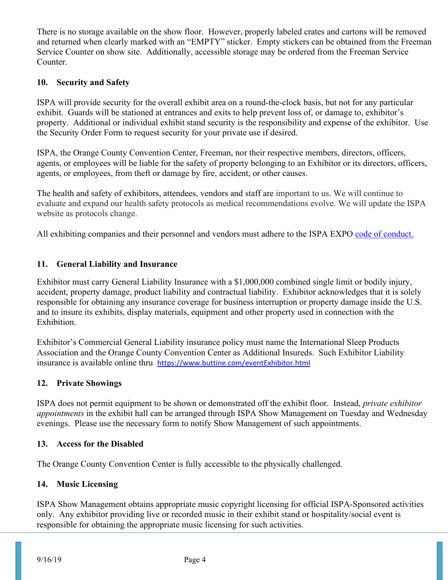There is no storage available on the show floor. However, properly labeled crates and cartons will be removed and returned when clearly marked with an "EMPTY" sticker. Empty stickers can be obtained from the Freeman Service Counter on show site. Additionally, accessible storage may be ordered from the Freeman Service Counter.

#### **10. Security and Safety**

ISPA will provide security for the overall exhibit area on a round-the-clock basis, but not for any particular exhibit. Guards will be stationed at entrances and exits to help prevent loss of, or damage to, exhibitor's property. Additional or individual exhibit stand security is the responsibility and expense of the exhibitor. Use the Security Order Form to request security for your private use if desired.

ISPA, the Orange County Convention Center, Freeman, nor their respective members, directors, officers, agents, or employees will be liable for the safety of property belonging to an Exhibitor or its directors, officers, agents, or employees, from theft or damage by fire, accident, or other causes.

The health and safety of exhibitors, attendees, vendors and staff are important to us. We will continue to evaluate and expand our health safety protocols as medical recommendations evolve. We will update the ISPA website as protocols change.

All exhibiting companies and their personnel and vendors must adhere to the ISPA EXPO [code of conduct.](https://www.ispaexpo.com/wp-content/_docs/ISPAEXPO-CodeOfConduct.pdf)

## **11. General Liability and Insurance**

Exhibitor must carry General Liability Insurance with a \$1,000,000 combined single limit or bodily injury, accident, property damage, product liability and contractual liability. Exhibitor acknowledges that it is solely responsible for obtaining any insurance coverage for business interruption or property damage inside the U.S. and to insure its exhibits, display materials, equipment and other property used in connection with the Exhibition.

Exhibitor's Commercial General Liability insurance policy must name the International Sleep Products Association and the Orange County Convention Center as Additional Insureds. Such Exhibitor Liability insurance is available online thru <https://www.buttine.com/eventExhibitor.html>

#### **12. Private Showings**

ISPA does not permit equipment to be shown or demonstrated off the exhibit floor. Instead, *private exhibitor appointments* in the exhibit hall can be arranged through ISPA Show Management on Tuesday and Wednesday evenings. Please use the necessary form to notify Show Management of such appointments.

#### **13. Access for the Disabled**

The Orange County Convention Center is fully accessible to the physically challenged.

#### **14. Music Licensing**

ISPA Show Management obtains appropriate music copyright licensing for official ISPA-Sponsored activities only. Any exhibitor providing live or recorded music in their exhibit stand or hospitality/social event is responsible for obtaining the appropriate music licensing for such activities.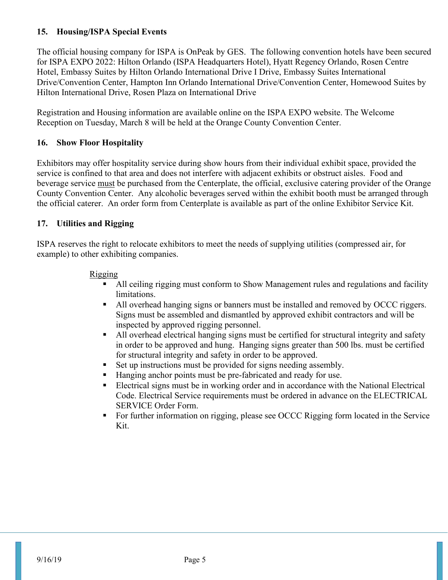## **15. Housing/ISPA Special Events**

The official housing company for ISPA is OnPeak by GES. The following convention hotels have been secured for ISPA EXPO 2022: Hilton Orlando (ISPA Headquarters Hotel), Hyatt Regency Orlando, Rosen Centre Hotel, Embassy Suites by Hilton Orlando International Drive I Drive, Embassy Suites International Drive/Convention Center, Hampton Inn Orlando International Drive/Convention Center, Homewood Suites by Hilton International Drive, Rosen Plaza on International Drive

Registration and Housing information are available online on the ISPA EXPO website. The Welcome Reception on Tuesday, March 8 will be held at the Orange County Convention Center.

#### **16. Show Floor Hospitality**

Exhibitors may offer hospitality service during show hours from their individual exhibit space, provided the service is confined to that area and does not interfere with adjacent exhibits or obstruct aisles. Food and beverage service must be purchased from the Centerplate, the official, exclusive catering provider of the Orange County Convention Center. Any alcoholic beverages served within the exhibit booth must be arranged through the official caterer. An order form from Centerplate is available as part of the online Exhibitor Service Kit.

#### **17. Utilities and Rigging**

ISPA reserves the right to relocate exhibitors to meet the needs of supplying utilities (compressed air, for example) to other exhibiting companies.

#### Rigging

- All ceiling rigging must conform to Show Management rules and regulations and facility limitations.
- All overhead hanging signs or banners must be installed and removed by OCCC riggers. Signs must be assembled and dismantled by approved exhibit contractors and will be inspected by approved rigging personnel.
- All overhead electrical hanging signs must be certified for structural integrity and safety in order to be approved and hung. Hanging signs greater than 500 lbs. must be certified for structural integrity and safety in order to be approved.
- Set up instructions must be provided for signs needing assembly.
- Hanging anchor points must be pre-fabricated and ready for use.
- Electrical signs must be in working order and in accordance with the National Electrical Code. Electrical Service requirements must be ordered in advance on the ELECTRICAL SERVICE Order Form.
- For further information on rigging, please see OCCC Rigging form located in the Service Kit.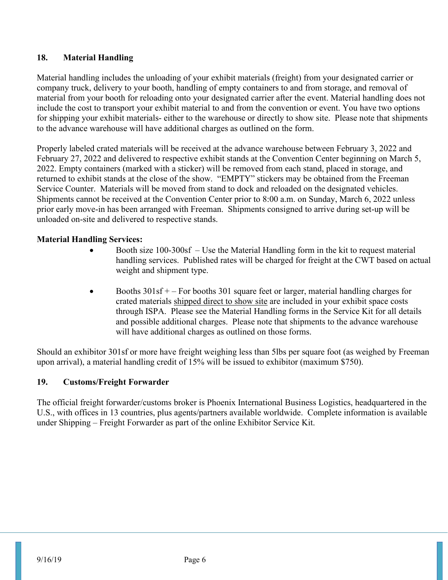## **18. Material Handling**

Material handling includes the unloading of your exhibit materials (freight) from your designated carrier or company truck, delivery to your booth, handling of empty containers to and from storage, and removal of material from your booth for reloading onto your designated carrier after the event. Material handling does not include the cost to transport your exhibit material to and from the convention or event. You have two options for shipping your exhibit materials- either to the warehouse or directly to show site. Please note that shipments to the advance warehouse will have additional charges as outlined on the form.

Properly labeled crated materials will be received at the advance warehouse between February 3, 2022 and February 27, 2022 and delivered to respective exhibit stands at the Convention Center beginning on March 5, 2022. Empty containers (marked with a sticker) will be removed from each stand, placed in storage, and returned to exhibit stands at the close of the show. "EMPTY" stickers may be obtained from the Freeman Service Counter. Materials will be moved from stand to dock and reloaded on the designated vehicles. Shipments cannot be received at the Convention Center prior to 8:00 a.m. on Sunday, March 6, 2022 unless prior early move-in has been arranged with Freeman. Shipments consigned to arrive during set-up will be unloaded on-site and delivered to respective stands.

## **Material Handling Services:**

- Booth size 100-300sf Use the Material Handling form in the kit to request material handling services. Published rates will be charged for freight at the CWT based on actual weight and shipment type.
- Booths  $301sf$  + For booths 301 square feet or larger, material handling charges for crated materials shipped direct to show site are included in your exhibit space costs through ISPA. Please see the Material Handling forms in the Service Kit for all details and possible additional charges. Please note that shipments to the advance warehouse will have additional charges as outlined on those forms.

Should an exhibitor 301sf or more have freight weighing less than 5lbs per square foot (as weighed by Freeman upon arrival), a material handling credit of 15% will be issued to exhibitor (maximum \$750).

#### **19. Customs/Freight Forwarder**

The official freight forwarder/customs broker is Phoenix International Business Logistics, headquartered in the U.S., with offices in 13 countries, plus agents/partners available worldwide. Complete information is available under Shipping – Freight Forwarder as part of the online Exhibitor Service Kit.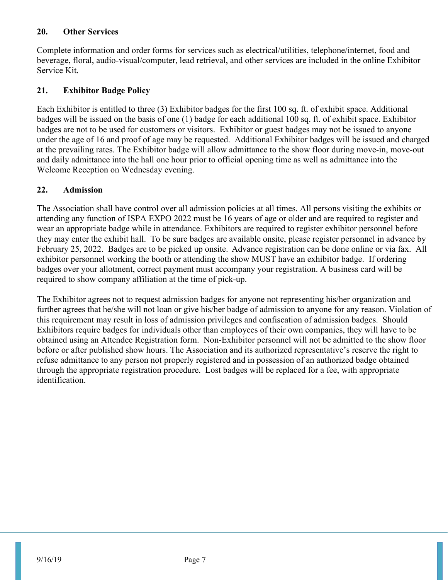#### **20. Other Services**

Complete information and order forms for services such as electrical/utilities, telephone/internet, food and beverage, floral, audio-visual/computer, lead retrieval, and other services are included in the online Exhibitor Service Kit.

# **21. Exhibitor Badge Policy**

Each Exhibitor is entitled to three (3) Exhibitor badges for the first 100 sq. ft. of exhibit space. Additional badges will be issued on the basis of one (1) badge for each additional 100 sq. ft. of exhibit space. Exhibitor badges are not to be used for customers or visitors. Exhibitor or guest badges may not be issued to anyone under the age of 16 and proof of age may be requested. Additional Exhibitor badges will be issued and charged at the prevailing rates. The Exhibitor badge will allow admittance to the show floor during move-in, move-out and daily admittance into the hall one hour prior to official opening time as well as admittance into the Welcome Reception on Wednesday evening.

# **22. Admission**

The Association shall have control over all admission policies at all times. All persons visiting the exhibits or attending any function of ISPA EXPO 2022 must be 16 years of age or older and are required to register and wear an appropriate badge while in attendance. Exhibitors are required to register exhibitor personnel before they may enter the exhibit hall. To be sure badges are available onsite, please register personnel in advance by February 25, 2022. Badges are to be picked up onsite. Advance registration can be done online or via fax. All exhibitor personnel working the booth or attending the show MUST have an exhibitor badge. If ordering badges over your allotment, correct payment must accompany your registration. A business card will be required to show company affiliation at the time of pick-up.

The Exhibitor agrees not to request admission badges for anyone not representing his/her organization and further agrees that he/she will not loan or give his/her badge of admission to anyone for any reason. Violation of this requirement may result in loss of admission privileges and confiscation of admission badges. Should Exhibitors require badges for individuals other than employees of their own companies, they will have to be obtained using an Attendee Registration form. Non-Exhibitor personnel will not be admitted to the show floor before or after published show hours. The Association and its authorized representative's reserve the right to refuse admittance to any person not properly registered and in possession of an authorized badge obtained through the appropriate registration procedure. Lost badges will be replaced for a fee, with appropriate identification.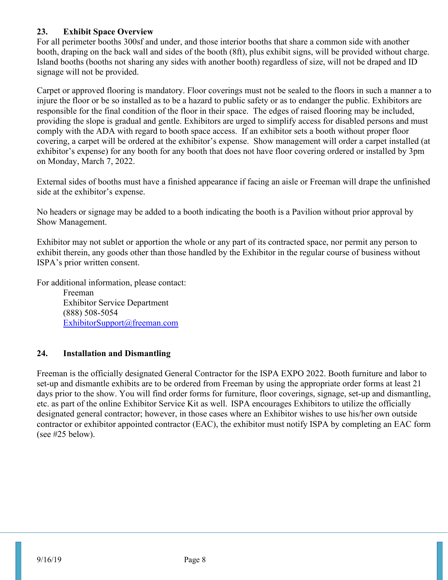## **23. Exhibit Space Overview**

For all perimeter booths 300sf and under, and those interior booths that share a common side with another booth, draping on the back wall and sides of the booth (8ft), plus exhibit signs, will be provided without charge. Island booths (booths not sharing any sides with another booth) regardless of size, will not be draped and ID signage will not be provided.

Carpet or approved flooring is mandatory. Floor coverings must not be sealed to the floors in such a manner a to injure the floor or be so installed as to be a hazard to public safety or as to endanger the public. Exhibitors are responsible for the final condition of the floor in their space. The edges of raised flooring may be included, providing the slope is gradual and gentle. Exhibitors are urged to simplify access for disabled persons and must comply with the ADA with regard to booth space access. If an exhibitor sets a booth without proper floor covering, a carpet will be ordered at the exhibitor's expense. Show management will order a carpet installed (at exhibitor's expense) for any booth for any booth that does not have floor covering ordered or installed by 3pm on Monday, March 7, 2022.

External sides of booths must have a finished appearance if facing an aisle or Freeman will drape the unfinished side at the exhibitor's expense.

No headers or signage may be added to a booth indicating the booth is a Pavilion without prior approval by Show Management.

Exhibitor may not sublet or apportion the whole or any part of its contracted space, nor permit any person to exhibit therein, any goods other than those handled by the Exhibitor in the regular course of business without ISPA's prior written consent.

For additional information, please contact:

Freeman Exhibitor Service Department (888) 508-5054 [ExhibitorSupport@freeman.com](mailto:ExhibitorSupport@freeman.com)

# **24. Installation and Dismantling**

Freeman is the officially designated General Contractor for the ISPA EXPO 2022. Booth furniture and labor to set-up and dismantle exhibits are to be ordered from Freeman by using the appropriate order forms at least 21 days prior to the show. You will find order forms for furniture, floor coverings, signage, set-up and dismantling, etc. as part of the online Exhibitor Service Kit as well. ISPA encourages Exhibitors to utilize the officially designated general contractor; however, in those cases where an Exhibitor wishes to use his/her own outside contractor or exhibitor appointed contractor (EAC), the exhibitor must notify ISPA by completing an EAC form (see #25 below).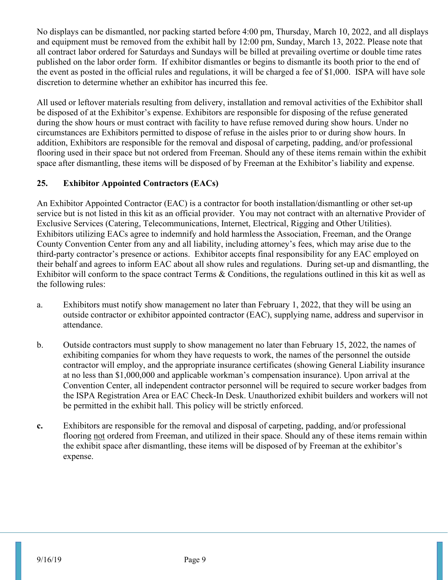No displays can be dismantled, nor packing started before 4:00 pm, Thursday, March 10, 2022, and all displays and equipment must be removed from the exhibit hall by 12:00 pm, Sunday, March 13, 2022. Please note that all contract labor ordered for Saturdays and Sundays will be billed at prevailing overtime or double time rates published on the labor order form. If exhibitor dismantles or begins to dismantle its booth prior to the end of the event as posted in the official rules and regulations, it will be charged a fee of \$1,000. ISPA will have sole discretion to determine whether an exhibitor has incurred this fee.

All used or leftover materials resulting from delivery, installation and removal activities of the Exhibitor shall be disposed of at the Exhibitor's expense. Exhibitors are responsible for disposing of the refuse generated during the show hours or must contract with facility to have refuse removed during show hours. Under no circumstances are Exhibitors permitted to dispose of refuse in the aisles prior to or during show hours. In addition, Exhibitors are responsible for the removal and disposal of carpeting, padding, and/or professional flooring used in their space but not ordered from Freeman. Should any of these items remain within the exhibit space after dismantling, these items will be disposed of by Freeman at the Exhibitor's liability and expense.

# **25. Exhibitor Appointed Contractors (EACs)**

An Exhibitor Appointed Contractor (EAC) is a contractor for booth installation/dismantling or other set-up service but is not listed in this kit as an official provider. You may not contract with an alternative Provider of Exclusive Services (Catering, Telecommunications, Internet, Electrical, Rigging and Other Utilities). Exhibitors utilizing EACs agree to indemnify and hold harmlessthe Association, Freeman, and the Orange County Convention Center from any and all liability, including attorney's fees, which may arise due to the third-party contractor's presence or actions. Exhibitor accepts final responsibility for any EAC employed on their behalf and agrees to inform EAC about all show rules and regulations. During set-up and dismantling, the Exhibitor will conform to the space contract Terms & Conditions, the regulations outlined in this kit as well as the following rules:

- a. Exhibitors must notify show management no later than February 1, 2022, that they will be using an outside contractor or exhibitor appointed contractor (EAC), supplying name, address and supervisor in attendance.
- b. Outside contractors must supply to show management no later than February 15, 2022, the names of exhibiting companies for whom they have requests to work, the names of the personnel the outside contractor will employ, and the appropriate insurance certificates (showing General Liability insurance at no less than \$1,000,000 and applicable workman's compensation insurance). Upon arrival at the Convention Center, all independent contractor personnel will be required to secure worker badges from the ISPA Registration Area or EAC Check-In Desk. Unauthorized exhibit builders and workers will not be permitted in the exhibit hall. This policy will be strictly enforced.
- **c.** Exhibitors are responsible for the removal and disposal of carpeting, padding, and/or professional flooring not ordered from Freeman, and utilized in their space. Should any of these items remain within the exhibit space after dismantling, these items will be disposed of by Freeman at the exhibitor's expense.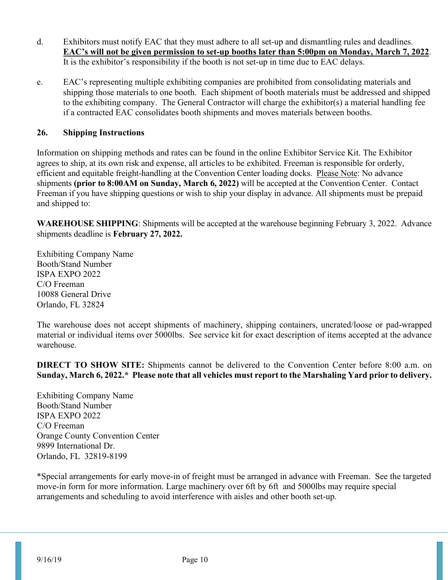- d. Exhibitors must notify EAC that they must adhere to all set-up and dismantling rules and deadlines. **EAC's will not be given permission to set-up booths later than 5:00pm on Monday, March 7, 2022**. It is the exhibitor's responsibility if the booth is not set-up in time due to EAC delays.
- e. EAC's representing multiple exhibiting companies are prohibited from consolidating materials and shipping those materials to one booth. Each shipment of booth materials must be addressed and shipped to the exhibiting company. The General Contractor will charge the exhibitor(s) a material handling fee if a contracted EAC consolidates booth shipments and moves materials between booths.

#### **26. Shipping Instructions**

Information on shipping methods and rates can be found in the online Exhibitor Service Kit. The Exhibitor agrees to ship, at its own risk and expense, all articles to be exhibited. Freeman is responsible for orderly, efficient and equitable freight-handling at the Convention Center loading docks. Please Note: No advance shipments **(prior to 8:00AM on Sunday, March 6, 2022)** will be accepted at the Convention Center. Contact Freeman if you have shipping questions or wish to ship your display in advance. All shipments must be prepaid and shipped to:

**WAREHOUSE SHIPPING**: Shipments will be accepted at the warehouse beginning February 3, 2022. Advance shipments deadline is **February 27, 2022.**

Exhibiting Company Name Booth/Stand Number ISPA EXPO 2022 C/O Freeman 10088 General Drive Orlando, FL 32824

The warehouse does not accept shipments of machinery, shipping containers, uncrated/loose or pad-wrapped material or individual items over 5000lbs. See service kit for exact description of items accepted at the advance warehouse.

**DIRECT TO SHOW SITE:** Shipments cannot be delivered to the Convention Center before 8:00 a.m. on **Sunday, March 6, 2022.\* Please note that all vehicles must report to the Marshaling Yard prior to delivery.**

Exhibiting Company Name Booth/Stand Number ISPA EXPO 2022 C/O Freeman Orange County Convention Center 9899 International Dr. Orlando, FL 32819-8199

\*Special arrangements for early move-in of freight must be arranged in advance with Freeman. See the targeted move-in form for more information. Large machinery over 6ft by 6ft and 5000lbs may require special arrangements and scheduling to avoid interference with aisles and other booth set-up.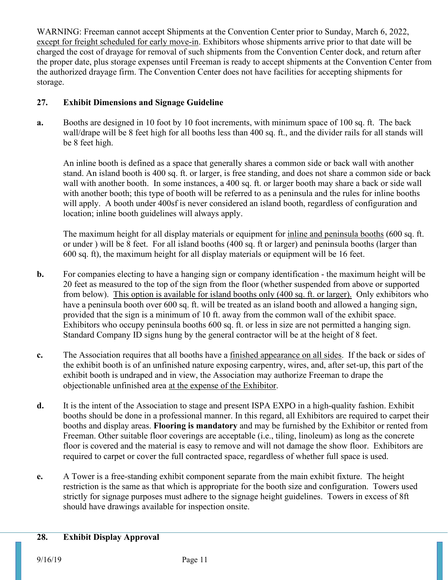WARNING: Freeman cannot accept Shipments at the Convention Center prior to Sunday, March 6, 2022, except for freight scheduled for early move-in. Exhibitors whose shipments arrive prior to that date will be charged the cost of drayage for removal of such shipments from the Convention Center dock, and return after the proper date, plus storage expenses until Freeman is ready to accept shipments at the Convention Center from the authorized drayage firm. The Convention Center does not have facilities for accepting shipments for storage.

# **27. Exhibit Dimensions and Signage Guideline**

**a.** Booths are designed in 10 foot by 10 foot increments, with minimum space of 100 sq. ft. The back wall/drape will be 8 feet high for all booths less than 400 sq. ft., and the divider rails for all stands will be 8 feet high.

An inline booth is defined as a space that generally shares a common side or back wall with another stand. An island booth is 400 sq. ft. or larger, is free standing, and does not share a common side or back wall with another booth. In some instances, a 400 sq. ft. or larger booth may share a back or side wall with another booth; this type of booth will be referred to as a peninsula and the rules for inline booths will apply. A booth under 400sf is never considered an island booth, regardless of configuration and location; inline booth guidelines will always apply.

The maximum height for all display materials or equipment for inline and peninsula booths (600 sq. ft. or under ) will be 8 feet. For all island booths (400 sq. ft or larger) and peninsula booths (larger than 600 sq. ft), the maximum height for all display materials or equipment will be 16 feet.

- **b.** For companies electing to have a hanging sign or company identification the maximum height will be 20 feet as measured to the top of the sign from the floor (whether suspended from above or supported from below). This option is available for island booths only (400 sq. ft. or larger). Only exhibitors who have a peninsula booth over 600 sq. ft. will be treated as an island booth and allowed a hanging sign, provided that the sign is a minimum of 10 ft. away from the common wall of the exhibit space. Exhibitors who occupy peninsula booths 600 sq. ft. or less in size are not permitted a hanging sign. Standard Company ID signs hung by the general contractor will be at the height of 8 feet.
- **c.** The Association requires that all booths have a finished appearance on all sides. If the back or sides of the exhibit booth is of an unfinished nature exposing carpentry, wires, and, after set-up, this part of the exhibit booth is undraped and in view, the Association may authorize Freeman to drape the objectionable unfinished area at the expense of the Exhibitor.
- **d.** It is the intent of the Association to stage and present ISPA EXPO in a high-quality fashion. Exhibit booths should be done in a professional manner. In this regard, all Exhibitors are required to carpet their booths and display areas. **Flooring is mandatory** and may be furnished by the Exhibitor or rented from Freeman. Other suitable floor coverings are acceptable (i.e., tiling, linoleum) as long as the concrete floor is covered and the material is easy to remove and will not damage the show floor. Exhibitors are required to carpet or cover the full contracted space, regardless of whether full space is used.
- **e.** A Tower is a free-standing exhibit component separate from the main exhibit fixture. The height restriction is the same as that which is appropriate for the booth size and configuration. Towers used strictly for signage purposes must adhere to the signage height guidelines. Towers in excess of 8ft should have drawings available for inspection onsite.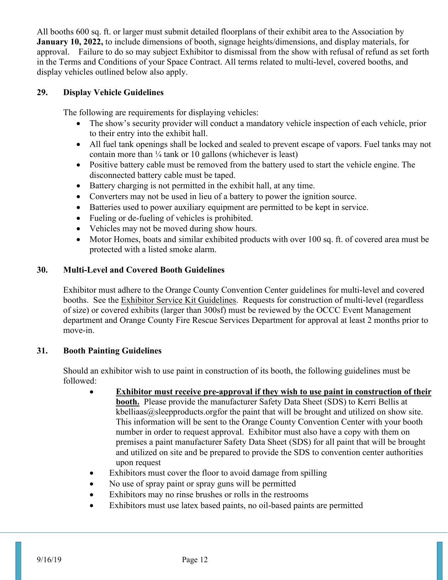All booths 600 sq. ft. or larger must submit detailed floorplans of their exhibit area to the Association by **January 10, 2022,** to include dimensions of booth, signage heights/dimensions, and display materials, for approval. Failure to do so may subject Exhibitor to dismissal from the show with refusal of refund as set forth in the Terms and Conditions of your Space Contract. All terms related to multi-level, covered booths, and display vehicles outlined below also apply.

#### **29. Display Vehicle Guidelines**

The following are requirements for displaying vehicles:

- The show's security provider will conduct a mandatory vehicle inspection of each vehicle, prior to their entry into the exhibit hall.
- All fuel tank openings shall be locked and sealed to prevent escape of vapors. Fuel tanks may not contain more than  $\frac{1}{4}$  tank or 10 gallons (whichever is least)
- Positive battery cable must be removed from the battery used to start the vehicle engine. The disconnected battery cable must be taped.
- Battery charging is not permitted in the exhibit hall, at any time.
- Converters may not be used in lieu of a battery to power the ignition source.
- Batteries used to power auxiliary equipment are permitted to be kept in service.
- Fueling or de-fueling of vehicles is prohibited.
- Vehicles may not be moved during show hours.
- Motor Homes, boats and similar exhibited products with over 100 sq. ft. of covered area must be protected with a listed smoke alarm.

#### **30. Multi-Level and Covered Booth Guidelines**

Exhibitor must adhere to the Orange County Convention Center guidelines for multi-level and covered booths. See the Exhibitor Service Kit Guidelines. Requests for construction of multi-level (regardless of size) or covered exhibits (larger than 300sf) must be reviewed by the OCCC Event Management department and Orange County Fire Rescue Services Department for approval at least 2 months prior to move-in.

#### **31. Booth Painting Guidelines**

Should an exhibitor wish to use paint in construction of its booth, the following guidelines must be followed:

- **Exhibitor must receive pre-approval if they wish to use paint in construction of their booth.** Please provide the manufacturer Safety Data Sheet (SDS) to Kerri Bellis at  $k$ belliaas $@s$ leepproducts.orgfor the paint that will be brought and utilized on show site. This information will be sent to the Orange County Convention Center with your booth number in order to request approval. Exhibitor must also have a copy with them on premises a paint manufacturer Safety Data Sheet (SDS) for all paint that will be brought and utilized on site and be prepared to provide the SDS to convention center authorities upon request
- Exhibitors must cover the floor to avoid damage from spilling
- No use of spray paint or spray guns will be permitted
- Exhibitors may no rinse brushes or rolls in the restrooms
- Exhibitors must use latex based paints, no oil-based paints are permitted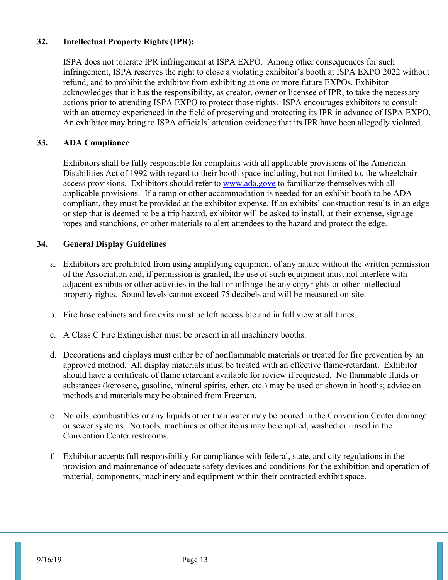#### **32. Intellectual Property Rights (IPR):**

ISPA does not tolerate IPR infringement at ISPA EXPO. Among other consequences for such infringement, ISPA reserves the right to close a violating exhibitor's booth at ISPA EXPO 2022 without refund, and to prohibit the exhibitor from exhibiting at one or more future EXPOs. Exhibitor acknowledges that it has the responsibility, as creator, owner or licensee of IPR, to take the necessary actions prior to attending ISPA EXPO to protect those rights. ISPA encourages exhibitors to consult with an attorney experienced in the field of preserving and protecting its IPR in advance of ISPA EXPO. An exhibitor may bring to ISPA officials' attention evidence that its IPR have been allegedly violated.

#### **33. ADA Compliance**

Exhibitors shall be fully responsible for complains with all applicable provisions of the American Disabilities Act of 1992 with regard to their booth space including, but not limited to, the wheelchair access provisions. Exhibitors should refer to [www.ada.gove](http://www.ada.gove/) to familiarize themselves with all applicable provisions. If a ramp or other accommodation is needed for an exhibit booth to be ADA compliant, they must be provided at the exhibitor expense. If an exhibits' construction results in an edge or step that is deemed to be a trip hazard, exhibitor will be asked to install, at their expense, signage ropes and stanchions, or other materials to alert attendees to the hazard and protect the edge.

#### **34. General Display Guidelines**

- a. Exhibitors are prohibited from using amplifying equipment of any nature without the written permission of the Association and, if permission is granted, the use of such equipment must not interfere with adjacent exhibits or other activities in the hall or infringe the any copyrights or other intellectual property rights. Sound levels cannot exceed 75 decibels and will be measured on-site.
- b. Fire hose cabinets and fire exits must be left accessible and in full view at all times.
- c. A Class C Fire Extinguisher must be present in all machinery booths.
- d. Decorations and displays must either be of nonflammable materials or treated for fire prevention by an approved method. All display materials must be treated with an effective flame-retardant. Exhibitor should have a certificate of flame retardant available for review if requested. No flammable fluids or substances (kerosene, gasoline, mineral spirits, ether, etc.) may be used or shown in booths; advice on methods and materials may be obtained from Freeman.
- e. No oils, combustibles or any liquids other than water may be poured in the Convention Center drainage or sewer systems. No tools, machines or other items may be emptied, washed or rinsed in the Convention Center restrooms.
- f. Exhibitor accepts full responsibility for compliance with federal, state, and city regulations in the provision and maintenance of adequate safety devices and conditions for the exhibition and operation of material, components, machinery and equipment within their contracted exhibit space.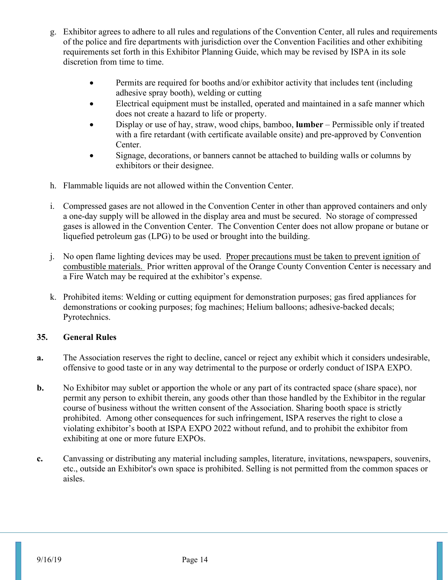- g. Exhibitor agrees to adhere to all rules and regulations of the Convention Center, all rules and requirements of the police and fire departments with jurisdiction over the Convention Facilities and other exhibiting requirements set forth in this Exhibitor Planning Guide, which may be revised by ISPA in its sole discretion from time to time.
	- Permits are required for booths and/or exhibitor activity that includes tent (including adhesive spray booth), welding or cutting
	- Electrical equipment must be installed, operated and maintained in a safe manner which does not create a hazard to life or property.
	- Display or use of hay, straw, wood chips, bamboo, **lumber** Permissible only if treated with a fire retardant (with certificate available onsite) and pre-approved by Convention Center.
	- Signage, decorations, or banners cannot be attached to building walls or columns by exhibitors or their designee.
- h. Flammable liquids are not allowed within the Convention Center.
- i. Compressed gases are not allowed in the Convention Center in other than approved containers and only a one-day supply will be allowed in the display area and must be secured. No storage of compressed gases is allowed in the Convention Center. The Convention Center does not allow propane or butane or liquefied petroleum gas (LPG) to be used or brought into the building.
- j. No open flame lighting devices may be used. Proper precautions must be taken to prevent ignition of combustible materials. Prior written approval of the Orange County Convention Center is necessary and a Fire Watch may be required at the exhibitor's expense.
- k. Prohibited items: Welding or cutting equipment for demonstration purposes; gas fired appliances for demonstrations or cooking purposes; fog machines; Helium balloons; adhesive-backed decals; Pyrotechnics.

#### **35. General Rules**

- **a.** The Association reserves the right to decline, cancel or reject any exhibit which it considers undesirable, offensive to good taste or in any way detrimental to the purpose or orderly conduct of ISPA EXPO.
- **b.** No Exhibitor may sublet or apportion the whole or any part of its contracted space (share space), nor permit any person to exhibit therein, any goods other than those handled by the Exhibitor in the regular course of business without the written consent of the Association. Sharing booth space is strictly prohibited. Among other consequences for such infringement, ISPA reserves the right to close a violating exhibitor's booth at ISPA EXPO 2022 without refund, and to prohibit the exhibitor from exhibiting at one or more future EXPOs.
- **c.** Canvassing or distributing any material including samples, literature, invitations, newspapers, souvenirs, etc., outside an Exhibitor's own space is prohibited. Selling is not permitted from the common spaces or aisles.